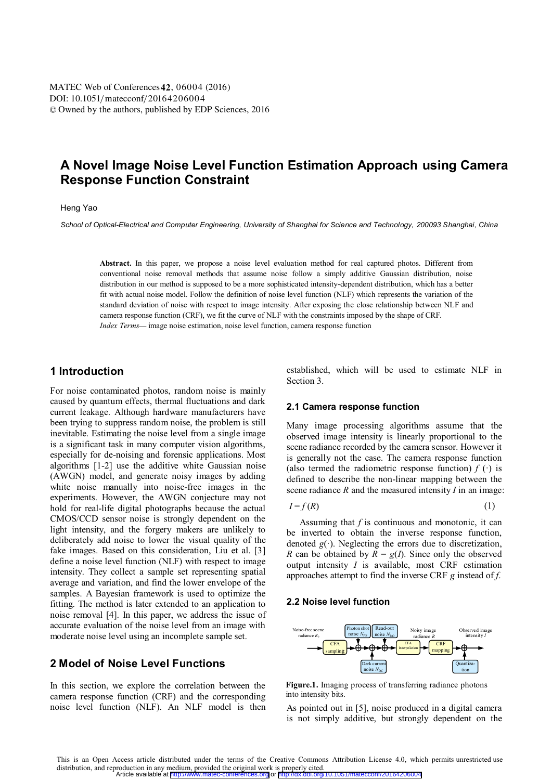# **A Novel Image Noise Level Function Estimation Approach using Camera Response Function Constraint**

### Heng Yao

*School of Optical-Electrical and Computer Engineering, University of Shanghai for Science and Technology, 200093 Shanghai, China* 

**Abstract.** In this paper, we propose a noise level evaluation method for real captured photos. Different from conventional noise removal methods that assume noise follow a simply additive Gaussian distribution, noise distribution in our method is supposed to be a more sophisticated intensity-dependent distribution, which has a better fit with actual noise model. Follow the definition of noise level function (NLF) which represents the variation of the standard deviation of noise with respect to image intensity. After exposing the close relationship between NLF and camera response function (CRF), we fit the curve of NLF with the constraints imposed by the shape of CRF. *Index Terms—* image noise estimation, noise level function, camera response function

## **1 Introduction**

For noise contaminated photos, random noise is mainly caused by quantum effects, thermal fluctuations and dark current leakage. Although hardware manufacturers have been trying to suppress random noise, the problem is still inevitable. Estimating the noise level from a single image is a significant task in many computer vision algorithms, especially for de-noising and forensic applications. Most algorithms [1-2] use the additive white Gaussian noise (AWGN) model, and generate noisy images by adding white noise manually into noise-free images in the experiments. However, the AWGN conjecture may not hold for real-life digital photographs because the actual CMOS/CCD sensor noise is strongly dependent on the light intensity, and the forgery makers are unlikely to deliberately add noise to lower the visual quality of the fake images. Based on this consideration, Liu et al. [3] define a noise level function (NLF) with respect to image intensity. They collect a sample set representing spatial average and variation, and find the lower envelope of the samples. A Bayesian framework is used to optimize the fitting. The method is later extended to an application to noise removal [4]. In this paper, we address the issue of accurate evaluation of the noise level from an image with moderate noise level using an incomplete sample set.

## **2 Model of Noise Level Functions**

In this section, we explore the correlation between the camera response function (CRF) and the corresponding noise level function (NLF). An NLF model is then established, which will be used to estimate NLF in Section 3.

#### **2.1 Camera response function**

Many image processing algorithms assume that the observed image intensity is linearly proportional to the scene radiance recorded by the camera sensor. However it is generally not the case. The camera response function (also termed the radiometric response function)  $f(\cdot)$  is defined to describe the non-linear mapping between the scene radiance *R* and the measured intensity *I* in an image:

$$
I = f(R) \tag{1}
$$

Assuming that *f* is continuous and monotonic, it can be inverted to obtain the inverse response function, denoted  $g(\cdot)$ . Neglecting the errors due to discretization, *R* can be obtained by  $\overline{R} = g(I)$ . Since only the observed output intensity *I* is available, most CRF estimation approaches attempt to find the inverse CRF *g* instead of *f*.

#### **2.2 Noise level function**



**Figure.1.** Imaging process of transferring radiance photons into intensity bits.

As pointed out in [5], noise produced in a digital camera is not simply additive, but strongly dependent on the

This is an Open Access article distributed under the terms of the Creative Commons Attribution License 4.0, which permits unrestricted use distribution, and reproduction in any medium, provided the original work is properly cited.<br>Article available at <http://www.matec-conferences.org> or <http://dx.doi.org/10.1051/matecconf/20164206004>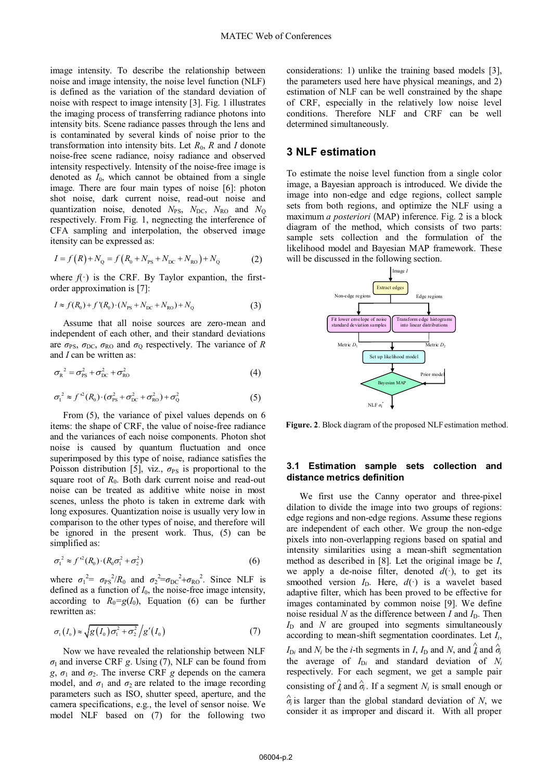image intensity. To describe the relationship between noise and image intensity, the noise level function (NLF) is defined as the variation of the standard deviation of noise with respect to image intensity [3]. Fig. 1 illustrates the imaging process of transferring radiance photons into intensity bits. Scene radiance passes through the lens and is contaminated by several kinds of noise prior to the transformation into intensity bits. Let  $R_0$ ,  $R$  and  $I$  donote noise-free scene radiance, noisy radiance and observed intensity respectively. Intensity of the noise-free image is denoted as  $I_0$ , which cannot be obtained from a single image. There are four main types of noise [6]: photon shot noise, dark current noise, read-out noise and quantization noise, denoted  $N_{PS}$ ,  $N_{DC}$ ,  $N_{RO}$  and  $N_{O}$ respectively. From Fig. 1, negnecting the interference of CFA sampling and interpolation, the observed image itensity can be expressed as:

$$
I = f(R) + N_{\rm Q} = f(R_0 + N_{\rm PS} + N_{\rm DC} + N_{\rm RO}) + N_{\rm Q}
$$
 (2)

where  $f(\cdot)$  is the CRF. By Taylor expantion, the firstorder approximation is [7]:

$$
I \approx f(R_0) + f'(R_0) \cdot (N_{PS} + N_{DC} + N_{RO}) + N_Q
$$
 (3)

Assume that all noise sources are zero-mean and independent of each other, and their standard deviations are  $\sigma_{PS}$ ,  $\sigma_{DC}$ ,  $\sigma_{RO}$  and  $\sigma_{Q}$  respectively. The variance of *R* and *I* can be written as:

$$
\sigma_{\rm R}^2 = \sigma_{\rm PS}^2 + \sigma_{\rm DC}^2 + \sigma_{\rm RO}^2 \tag{4}
$$

$$
\sigma_1^2 \approx f^{2}(R_0) \cdot (\sigma_{PS}^2 + \sigma_{DC}^2 + \sigma_{RO}^2) + \sigma_Q^2 \tag{5}
$$

From (5), the variance of pixel values depends on 6 items: the shape of CRF, the value of noise-free radiance and the variances of each noise components. Photon shot noise is caused by quantum fluctuation and once superimposed by this type of noise, radiance satisfies the Poisson distribution [5], viz.,  $\sigma_{PS}$  is proportional to the square root of  $R_0$ . Both dark current noise and read-out noise can be treated as additive white noise in most scenes, unless the photo is taken in extreme dark with long exposures. Quantization noise is usually very low in comparison to the other types of noise, and therefore will be ignored in the present work. Thus, (5) can be simplified as:

$$
\sigma_1^2 \approx f^2(R_0) \cdot (R_0 \sigma_1^2 + \sigma_2^2) \tag{6}
$$

where  $\sigma_1^2 = \sigma_{PS}^2/R_0$  and  $\sigma_2^2 = \sigma_{DC}^2 + \sigma_{RO}^2$ . Since NLF is defined as a function of *I*0, the noise-free image intensity, according to  $R_0 = g(I_0)$ , Equation (6) can be further rewritten as:

$$
\sigma_{1}(I_{0}) \approx \sqrt{g(I_{0})\sigma_{1}^{2} + \sigma_{2}^{2}}/g'(I_{0})
$$
\n(7)

Now we have revealed the relationship between NLF *σ*I and inverse CRF *g*. Using (7), NLF can be found from *g*,  $\sigma_1$  and  $\sigma_2$ . The inverse CRF *g* depends on the camera model, and  $\sigma_1$  and  $\sigma_2$  are related to the image recording parameters such as ISO, shutter speed, aperture, and the camera specifications, e.g., the level of sensor noise. We model NLF based on (7) for the following two

considerations: 1) unlike the training based models [3], the parameters used here have physical meanings, and 2) estimation of NLF can be well constrained by the shape of CRF, especially in the relatively low noise level conditions. Therefore NLF and CRF can be well determined simultaneously.

## **3 NLF estimation**

To estimate the noise level function from a single color image, a Bayesian approach is introduced. We divide the image into non-edge and edge regions, collect sample sets from both regions, and optimize the NLF using a maximum *a posteriori* (MAP) inference. Fig. 2 is a block diagram of the method, which consists of two parts: sample sets collection and the formulation of the likelihood model and Bayesian MAP framework. These will be discussed in the following section.



**Figure. 2**. Block diagram of the proposed NLF estimation method.

#### **3.1 Estimation sample sets collection and distance metrics definition**

We first use the Canny operator and three-pixel dilation to divide the image into two groups of regions: edge regions and non-edge regions. Assume these regions are independent of each other. We group the non-edge pixels into non-overlapping regions based on spatial and intensity similarities using a mean-shift segmentation method as described in [8]. Let the original image be *I*, we apply a de-noise filter, denoted  $d(\cdot)$ , to get its smoothed version  $I_D$ . Here,  $d(\cdot)$  is a wavelet based adaptive filter, which has been proved to be effective for images contaminated by common noise [9]. We define noise residual  $N$  as the difference between  $I$  and  $I_D$ . Then  $I<sub>D</sub>$  and *N* are grouped into segments simultaneously according to mean-shift segmentation coordinates. Let *Ii*, *I*<sub>D*i*</sub> and *N<sub>i</sub>* be the *i*-th segments in *I*, *I*<sub>D</sub> and *N*, and  $\hat{i}$ <sub>*i*</sub> and  $\hat{\sigma}$ the average of  $I_{Di}$  and standard deviation of  $N_i$ respectively. For each segment, we get a sample pair consisting of  $\hat{i}_i$  and  $\hat{\sigma}_i$ . If a segment  $N_i$  is small enough or  $\hat{\sigma}$ <sup>*i*</sup> is larger than the global standard deviation of *N*, we consider it as improper and discard it. With all proper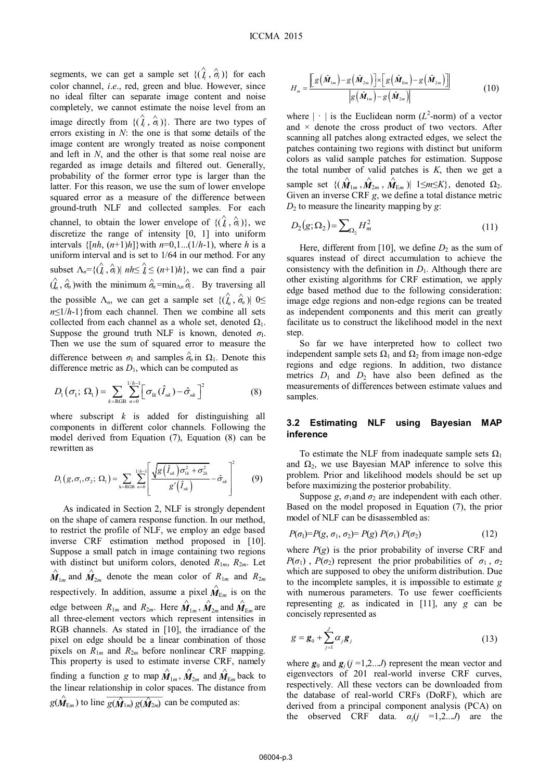segments, we can get a sample set  $\{(\hat{i}_i, \hat{\alpha}_i)\}$  for each color channel, *i*.*e*., red, green and blue. However, since no ideal filter can separate image content and noise completely, we cannot estimate the noise level from an image directly from  $\{(\hat{i}_i, \hat{\sigma}_i)\}$ . There are two types of errors existing in *N*: the one is that some details of the image content are wrongly treated as noise component and left in *N*, and the other is that some real noise are regarded as image details and filtered out. Generally, probability of the former error type is larger than the latter. For this reason, we use the sum of lower envelope squared error as a measure of the difference between ground-truth NLF and collected samples. For each channel, to obtain the lower envelope of  $\{(\hat{i}_i, \hat{\sigma}_i)\},$  we discretize the range of intensity [0, 1] into uniform intervals  $\{[nh, (n+1)h]\}$  with  $n=0,1...(1/h-1)$ , where *h* is a uniform interval and is set to 1/64 in our method. For any subset  $\Lambda_n = \{(\hat{i}_i, \hat{\sigma}_i) | nh \leq \hat{i}_i \leq (n+1)h\}$ , we can find a pair  $(\hat{\theta}_n, \hat{\sigma}_n)$  with the minimum  $\hat{\sigma}_n = \min_{\Delta n} \hat{\sigma}_i$ . By traversing all the possible  $\Lambda_n$ , we can get a sample set  $\{(\hat{I}_n, \hat{\sigma}_n) | 0 \leq$  $n \leq 1/h-1$ }from each channel. Then we combine all sets collected from each channel as a whole set, denoted  $\Omega_1$ . Suppose the ground truth NLF is known, denoted  $\sigma$ <sup>I</sup>. Then we use the sum of squared error to measure the difference between  $\sigma_{\text{I}}$  and samples  $\hat{\sigma}_n$  in  $\Omega_1$ . Denote this difference metric as  $D_1$ , which can be computed as

$$
D_{1}(\sigma_{1}; \Omega_{1}) = \sum_{k=\text{RGB}} \sum_{n=0}^{1/h-1} \left[ \sigma_{1k}(\hat{I}_{nk}) - \hat{\sigma}_{nk} \right]^{2}
$$
(8)

where subscript *k* is added for distinguishing all components in different color channels*.* Following the model derived from Equation (7), Equation (8) can be rewritten as

$$
D_1(g, \sigma_1, \sigma_2; \Omega_1) = \sum_{k=ROB} \sum_{n=0}^{1/h-1} \left[ \frac{\sqrt{g(\hat{I}_{nk}) \sigma_{1k}^2 + \sigma_{2k}^2}}{g'(\hat{I}_{nk})} - \hat{\sigma}_{nk} \right]^2 \qquad (9)
$$

As indicated in Section 2, NLF is strongly dependent on the shape of camera response function. In our method, to restrict the profile of NLF, we employ an edge based inverse CRF estimation method proposed in [10]. Suppose a small patch in image containing two regions with distinct but uniform colors, denoted  $R_{1m}$ ,  $R_{2m}$ . Let  $\hat{M}_{1m}$  and  $\hat{M}_{2m}$  denote the mean color of  $R_{1m}$  and  $R_{2m}$ respectively. In addition, assume a pixel  $\hat{M}_{E_m}$  is on the edge between  $R_{1m}$  and  $R_{2m}$ . Here  $\hat{M}_{1m}$ ,  $\hat{M}_{2m}$  and  $\hat{M}_{Em}$  are all three-element vectors which represent intensities in all three-element vectors which represent intensities in RGB channels. As stated in [10], the irradiance of the pixel on edge should be a linear combination of those pixels on *R*<sup>1</sup>*<sup>m</sup>* and *R*<sup>2</sup>*<sup>m</sup>* before nonlinear CRF mapping. This property is used to estimate inverse CRF, namely finding a function *g* to map  $\hat{M}_{1m}$ ,  $\hat{M}_{2m}$  and  $\hat{M}_{Em}$  back to the linear relationship in color spaces. The distance from the linear relationship in color spaces. The distance from  $g(\hat{\bm{M}}_{Em})$  to line  $\overline{g(\hat{\bm{M}}_{1m}) g(\hat{\bm{M}}_{2m})}$  can be computed as:

$$
H_{m} = \frac{\left[ g\left(\hat{\boldsymbol{M}}_{1m}\right) - g\left(\hat{\boldsymbol{M}}_{2m}\right) \right] \times \left[ g\left(\hat{\boldsymbol{M}}_{Em}\right) - g\left(\hat{\boldsymbol{M}}_{2m}\right) \right]}{\left| g\left(\hat{\boldsymbol{M}}_{1m}\right) - g\left(\hat{\boldsymbol{M}}_{2m}\right) \right|} \tag{10}
$$

where  $|\cdot|$  is the Euclidean norm ( $L^2$ -norm) of a vector and  $\times$  denote the cross product of two vectors. After scanning all patches along extracted edges, we select the patches containing two regions with distinct but uniform colors as valid sample patches for estimation. Suppose the total number of valid patches is *K*, then we get a sample set  $\{(\hat{M}_{1m}, \hat{M}_{2m}, \hat{M}_{Em})| 1 \leq m \leq K\}$ , denoted  $\Omega_2$ .<br>Given an inverse CRF  $\sigma$  we define a total distance metric Given an inverse CRF *g*, we define a total distance metric  $D_2$  to measure the linearity mapping by *g*:

$$
D_2(g;\Omega_2) = \sum_{\Omega_2} H_m^2 \tag{11}
$$

Here, different from [10], we define  $D_2$  as the sum of squares instead of direct accumulation to achieve the consistency with the definition in  $D_1$ . Although there are other existing algorithms for CRF estimation, we apply edge based method due to the following consideration: image edge regions and non-edge regions can be treated as independent components and this merit can greatly facilitate us to construct the likelihood model in the next step.

So far we have interpreted how to collect two independent sample sets  $\Omega_1$  and  $\Omega_2$  from image non-edge regions and edge regions. In addition, two distance metrics  $D_1$  and  $D_2$  have also been defined as the measurements of differences between estimate values and samples.

#### **3.2 Estimating NLF using Bayesian MAP inference**

To estimate the NLF from inadequate sample sets  $\Omega_1$ and  $\Omega_2$ , we use Bayesian MAP inference to solve this problem. Prior and likelihood models should be set up before maximizing the posterior probability.

Suppose *g*,  $\sigma_1$ and  $\sigma_2$  are independent with each other. Based on the model proposed in Equation (7), the prior model of NLF can be disassembled as:

$$
P(\sigma_1) = P(g, \sigma_1, \sigma_2) = P(g) P(\sigma_1) P(\sigma_2)
$$
\n(12)

where  $P(g)$  is the prior probability of inverse CRF and  $P(\sigma_1)$ ,  $P(\sigma_2)$  represent the prior probabilities of  $\sigma_1$ ,  $\sigma_2$ which are supposed to obey the uniform distribution. Due to the incomplete samples, it is impossible to estimate *g* with numerous parameters. To use fewer coefficients representing *g,* as indicated in [11], any *g* can be concisely represented as

$$
g = \boldsymbol{g}_0 + \sum_{j=1}^{J} \alpha_j \boldsymbol{g}_j
$$
 (13)

where  $g_0$  and  $g_i$  ( $j = 1,2...$ ) represent the mean vector and eigenvectors of 201 real-world inverse CRF curves, respectively. All these vectors can be downloaded from the database of real-world CRFs (DoRF), which are derived from a principal component analysis (PCA) on the observed CRF data.  $\alpha_j (j = 1, 2...J)$  are the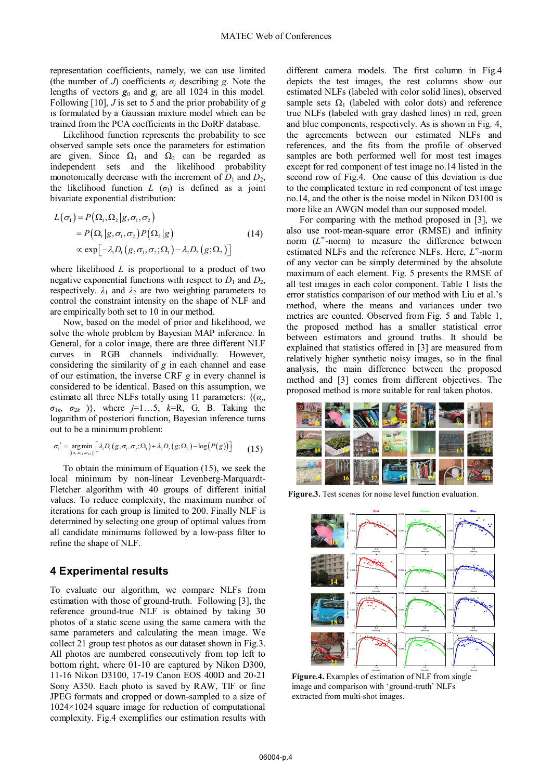representation coefficients, namely, we can use limited (the number of *J*) coefficients  $\alpha_i$  describing *g*. Note the lengths of vectors  $g_0$  and  $g_i$  are all 1024 in this model. Following [10], *J* is set to 5 and the prior probability of *g* is formulated by a Gaussian mixture model which can be trained from the PCA coefficients in the DoRF database.

Likelihood function represents the probability to see observed sample sets once the parameters for estimation are given. Since  $\Omega_1$  and  $\Omega_2$  can be regarded as independent sets and the likelihood probability monotonically decrease with the increment of  $D_1$  and  $D_2$ , the likelihood function  $L(\sigma_l)$  is defined as a joint bivariate exponential distribution:

$$
L(\sigma_1) = P(\Omega_1, \Omega_2 | g, \sigma_1, \sigma_2)
$$
  
=  $P(\Omega_1 | g, \sigma_1, \sigma_2) P(\Omega_2 | g)$  (14)  
 $\propto \exp[-\lambda_1 D_1(g, \sigma_1, \sigma_2; \Omega_1) - \lambda_2 D_2(g; \Omega_2)]$ 

where likelihood *L* is proportional to a product of two negative exponential functions with respect to  $D_1$  and  $D_2$ , respectively.  $\lambda_1$  and  $\lambda_2$  are two weighting parameters to control the constraint intensity on the shape of NLF and are empirically both set to 10 in our method.

Now, based on the model of prior and likelihood, we solve the whole problem by Bayesian MAP inference. In General, for a color image, there are three different NLF curves in RGB channels individually. However, considering the similarity of *g* in each channel and ease of our estimation, the inverse CRF *g* in every channel is considered to be identical. Based on this assumption, we estimate all three NLFs totally using 11 parameters:  $\{(a_i,$  $\sigma_{1k}$ ,  $\sigma_{2k}$ ), where *j*=1…5, *k*=R, G, B. Taking the logarithm of posteriori function, Bayesian inference turns out to be a minimum problem:

$$
\sigma_1^* = \underset{\{(a_i, \sigma_{1k}, \sigma_{2k})\}}{\arg \min} \left[ \lambda_i D_i(g, \sigma_1, \sigma_2; \Omega_1) + \lambda_2 D_2(g; \Omega_2) - \log(P(g)) \right] \tag{15}
$$

To obtain the minimum of Equation (15), we seek the local minimum by non-linear Levenberg-Marquardt-Fletcher algorithm with 40 groups of different initial values. To reduce complexity, the maximum number of iterations for each group is limited to 200. Finally NLF is determined by selecting one group of optimal values from all candidate minimums followed by a low-pass filter to refine the shape of NLF.

### **4 Experimental results**

To evaluate our algorithm, we compare NLFs from estimation with those of ground-truth. Following [3], the reference ground-true NLF is obtained by taking 30 photos of a static scene using the same camera with the same parameters and calculating the mean image. We collect 21 group test photos as our dataset shown in Fig.3. All photos are numbered consecutively from top left to bottom right, where 01-10 are captured by Nikon D300, 11-16 Nikon D3100, 17-19 Canon EOS 400D and 20-21 Sony A350. Each photo is saved by RAW, TIF or fine JPEG formats and cropped or down-sampled to a size of 1024×1024 square image for reduction of computational complexity. Fig.4 exemplifies our estimation results with

different camera models. The first column in Fig.4 depicts the test images, the rest columns show our estimated NLFs (labeled with color solid lines), observed sample sets  $\Omega_1$  (labeled with color dots) and reference true NLFs (labeled with gray dashed lines) in red, green and blue components, respectively. As is shown in Fig. 4, the agreements between our estimated NLFs and references, and the fits from the profile of observed samples are both performed well for most test images except for red component of test image no.14 listed in the second row of Fig.4. One cause of this deviation is due to the complicated texture in red component of test image no.14, and the other is the noise model in Nikon D3100 is more like an AWGN model than our supposed model.

For comparing with the method proposed in [3], we also use root-mean-square error (RMSE) and infinity norm (*L*<sup>∞</sup> -norm) to measure the difference between estimated NLFs and the reference NLFs. Here, *L*<sup>∞</sup>-norm of any vector can be simply determined by the absolute maximum of each element. Fig. 5 presents the RMSE of all test images in each color component. Table 1 lists the error statistics comparison of our method with Liu et al.'s method, where the means and variances under two metrics are counted. Observed from Fig. 5 and Table 1, the proposed method has a smaller statistical error between estimators and ground truths. It should be explained that statistics offered in [3] are measured from relatively higher synthetic noisy images, so in the final analysis, the main difference between the proposed method and [3] comes from different objectives. The proposed method is more suitable for real taken photos.



**Figure.3.** Test scenes for noise level function evaluation.



**Figure.4.** Examples of estimation of NLF from single image and comparison with 'ground-truth' NLFs extracted from multi-shot images.